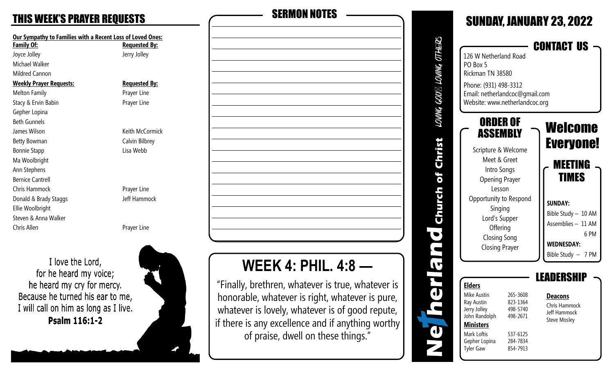| <b>Our Sympathy to Families with a Recent Loss of Loved</b><br><b>Family Of:</b> | <b>Requested</b> |
|----------------------------------------------------------------------------------|------------------|
| Joyce Jolley                                                                     | Jerry Jolley     |
| Michael Walker                                                                   |                  |
| <b>Mildred Cannon</b>                                                            |                  |
| <b>Weekly Prayer Requests:</b>                                                   | <u>Requested</u> |
| <b>Melton Family</b>                                                             | Prayer Line      |
| Stacy & Ervin Babin                                                              | Prayer Line      |
| Gepher Lopina                                                                    |                  |
| <b>Beth Gunnels</b>                                                              |                  |
| James Wilson                                                                     | Keith McCo       |
| Betty Bowman                                                                     | Calvin Bilbr     |
| <b>Bonnie Stapp</b>                                                              | Lisa Webb        |
| Ma Woolbright                                                                    |                  |
| Ann Stephens                                                                     |                  |
| <b>Bernice Cantrell</b>                                                          |                  |
| Chris Hammock                                                                    | Prayer Line      |
| Donald & Brady Staggs                                                            | Jeff Hamm        |
| Ellie Woolbright                                                                 |                  |
| Steven & Anna Walker                                                             |                  |
| Chris Allen                                                                      | Prayer Line      |
|                                                                                  |                  |

I love the Lord, for he heard my voice; he heard my cry for mercy. Because he turned his ear to me, I will call on him as long as I live. Psalm 116:1-2



| <b>THIS WEEK'S PRAYER REQUESTS</b>                         | <b>SERMON NOTES</b> |
|------------------------------------------------------------|---------------------|
| Our Sympathy to Families with a Recent Loss of Loved Ones: |                     |
| <b>Requested By:</b>                                       |                     |
| Jerry Jolley                                               |                     |
|                                                            |                     |
|                                                            |                     |
| <b>Requested By:</b>                                       |                     |
| Prayer Line                                                |                     |
| Prayer Line                                                |                     |
|                                                            |                     |
|                                                            |                     |
| Keith McCormick                                            |                     |
| Calvin Bilbrey                                             |                     |
| Lisa Webb                                                  |                     |
|                                                            |                     |
|                                                            |                     |
|                                                            |                     |
| Prayer Line                                                |                     |
| Jeff Hammock                                               |                     |
|                                                            |                     |
|                                                            |                     |
| Prayer Line                                                |                     |
|                                                            |                     |

# **WEEK 4: PHIL. 4:8 —**

"Finally, brethren, whatever is true, whatever is honorable, whatever is right, whatever is pure, whatever is lovely, whatever is of good repute, if there is any excellence and if anything worthy of praise, dwell on these things."

| UNNG GOD⊠ LOVINNG OTEHL<br>126 W Netherland Road<br>PO Box 5<br>Rickman TN 38580<br>Phone: (931) 498-3312<br>Email: netherlandcoc@gmail.com                                                                                                                                       |                                                                                  | <b>SUNDAY, JANUARY 23, 2022</b><br>CONTACT US                                                                                                                     |
|-----------------------------------------------------------------------------------------------------------------------------------------------------------------------------------------------------------------------------------------------------------------------------------|----------------------------------------------------------------------------------|-------------------------------------------------------------------------------------------------------------------------------------------------------------------|
| Website: www.netherlandcoc.org<br>ORDER OF<br>ASSEMBLY<br><b>SHELL</b><br>Scripture & Welcome<br>Meet & Greet<br>Intro Songs<br><b>Opening Prayer</b><br>Lesson<br>Opportunity to Respond<br>Singing<br>Lord's Supper<br>Offering<br><b>Closing Song</b><br><b>Closing Prayer</b> |                                                                                  | Welcome<br><b>Everyone!</b><br>MEETING<br>TIMES<br><b>SUNDAY:</b><br>Bible Study - 10 AM<br>Assemblies - 11 AM<br>6 PM<br><b>WEDNESDAY:</b><br>Bible Study - 7 PM |
| <b>Elders</b><br>Mike Austin<br>Ray Austin<br>Jerry Jolley<br>John Randolph<br><b>Ministers</b><br>Mark Loftis<br>Gepher Lopina<br><b>Tyler Gaw</b>                                                                                                                               | 265-3608<br>823-1364<br>498-5740<br>498-2671<br>537-6125<br>284-7834<br>854-7913 | KS<br><b>Deacons</b><br><b>Chris Hammock</b><br>Jeff Hammock<br><b>Steve Mosley</b>                                                                               |